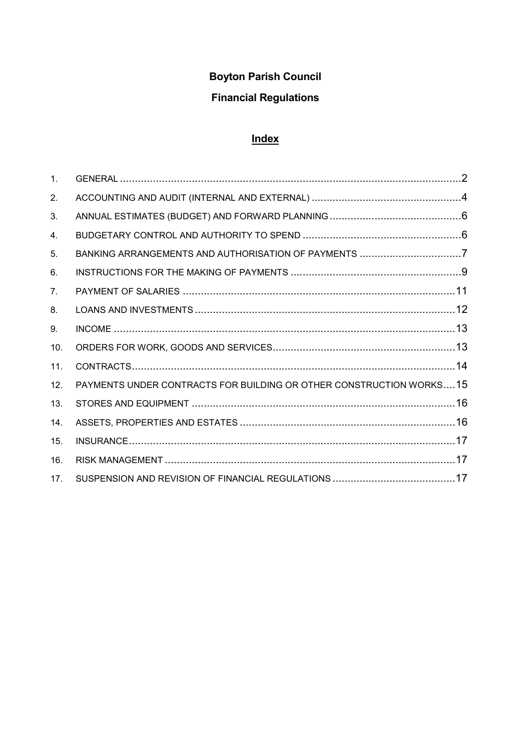# Boyton Parish Council

## Financial Regulations

## **Index**

| $\mathbf{1}$ . |                                                                     |  |
|----------------|---------------------------------------------------------------------|--|
| 2.             |                                                                     |  |
| 3.             |                                                                     |  |
| 4.             |                                                                     |  |
| 5.             | BANKING ARRANGEMENTS AND AUTHORISATION OF PAYMENTS 7                |  |
| 6.             |                                                                     |  |
| 7 <sub>1</sub> |                                                                     |  |
| 8.             |                                                                     |  |
| 9.             |                                                                     |  |
| 10.            |                                                                     |  |
| 11.            |                                                                     |  |
| 12.            | PAYMENTS UNDER CONTRACTS FOR BUILDING OR OTHER CONSTRUCTION WORKS15 |  |
| 13.            |                                                                     |  |
| 14.            |                                                                     |  |
| 15.            |                                                                     |  |
| 16.            |                                                                     |  |
| 17.            |                                                                     |  |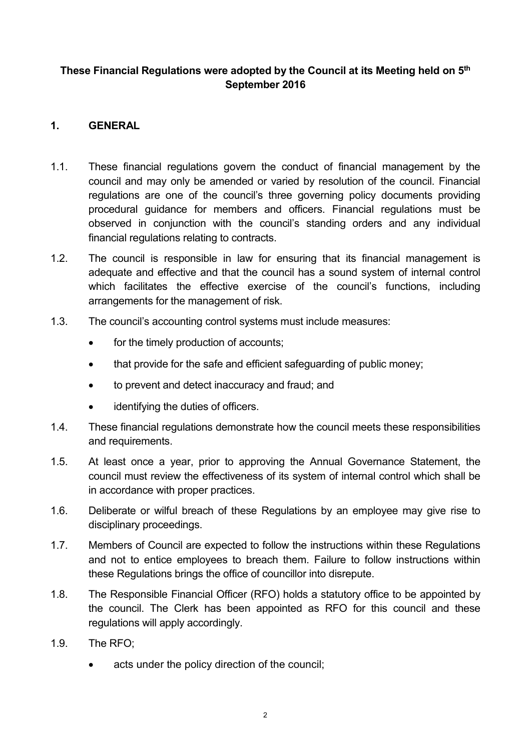#### These Financial Regulations were adopted by the Council at its Meeting held on 5<sup>th</sup> September 2016

## 1. GENERAL

- 1.1. These financial regulations govern the conduct of financial management by the council and may only be amended or varied by resolution of the council. Financial regulations are one of the council's three governing policy documents providing procedural guidance for members and officers. Financial regulations must be observed in conjunction with the council's standing orders and any individual financial regulations relating to contracts.
- 1.2. The council is responsible in law for ensuring that its financial management is adequate and effective and that the council has a sound system of internal control which facilitates the effective exercise of the council's functions, including arrangements for the management of risk.
- 1.3. The council's accounting control systems must include measures:
	- for the timely production of accounts;
	- that provide for the safe and efficient safeguarding of public money;
	- to prevent and detect inaccuracy and fraud; and
	- identifying the duties of officers.
- 1.4. These financial regulations demonstrate how the council meets these responsibilities and requirements.
- 1.5. At least once a year, prior to approving the Annual Governance Statement, the council must review the effectiveness of its system of internal control which shall be in accordance with proper practices.
- 1.6. Deliberate or wilful breach of these Regulations by an employee may give rise to disciplinary proceedings.
- 1.7. Members of Council are expected to follow the instructions within these Regulations and not to entice employees to breach them. Failure to follow instructions within these Regulations brings the office of councillor into disrepute.
- 1.8. The Responsible Financial Officer (RFO) holds a statutory office to be appointed by the council. The Clerk has been appointed as RFO for this council and these regulations will apply accordingly.
- 1.9. The RFO;
	- acts under the policy direction of the council;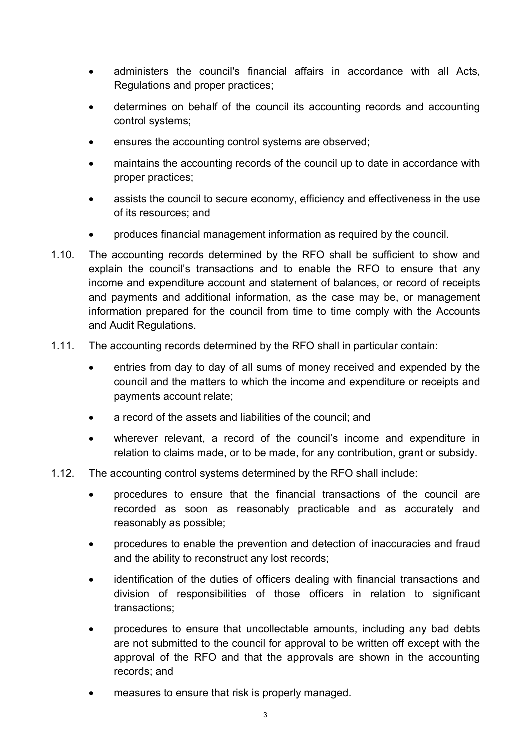- administers the council's financial affairs in accordance with all Acts, Regulations and proper practices;
- determines on behalf of the council its accounting records and accounting control systems;
- ensures the accounting control systems are observed;
- maintains the accounting records of the council up to date in accordance with proper practices;
- assists the council to secure economy, efficiency and effectiveness in the use of its resources; and
- produces financial management information as required by the council.
- 1.10. The accounting records determined by the RFO shall be sufficient to show and explain the council's transactions and to enable the RFO to ensure that any income and expenditure account and statement of balances, or record of receipts and payments and additional information, as the case may be, or management information prepared for the council from time to time comply with the Accounts and Audit Regulations.
- 1.11. The accounting records determined by the RFO shall in particular contain:
	- entries from day to day of all sums of money received and expended by the council and the matters to which the income and expenditure or receipts and payments account relate;
	- a record of the assets and liabilities of the council; and
	- wherever relevant, a record of the council's income and expenditure in relation to claims made, or to be made, for any contribution, grant or subsidy.
- 1.12. The accounting control systems determined by the RFO shall include:
	- procedures to ensure that the financial transactions of the council are recorded as soon as reasonably practicable and as accurately and reasonably as possible;
	- procedures to enable the prevention and detection of inaccuracies and fraud and the ability to reconstruct any lost records;
	- identification of the duties of officers dealing with financial transactions and division of responsibilities of those officers in relation to significant transactions;
	- procedures to ensure that uncollectable amounts, including any bad debts are not submitted to the council for approval to be written off except with the approval of the RFO and that the approvals are shown in the accounting records; and
	- measures to ensure that risk is properly managed.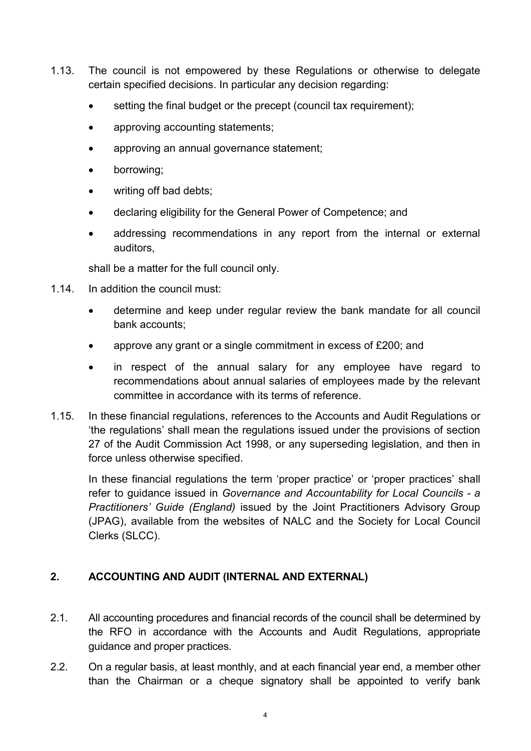- 1.13. The council is not empowered by these Regulations or otherwise to delegate certain specified decisions. In particular any decision regarding:
	- setting the final budget or the precept (council tax requirement);
	- approving accounting statements;
	- approving an annual governance statement;
	- borrowing;
	- writing off bad debts;
	- declaring eligibility for the General Power of Competence; and
	- addressing recommendations in any report from the internal or external auditors,

shall be a matter for the full council only.

- 1.14. In addition the council must:
	- determine and keep under regular review the bank mandate for all council bank accounts;
	- approve any grant or a single commitment in excess of £200; and
	- in respect of the annual salary for any employee have regard to recommendations about annual salaries of employees made by the relevant committee in accordance with its terms of reference.
- 1.15. In these financial regulations, references to the Accounts and Audit Regulations or 'the regulations' shall mean the regulations issued under the provisions of section 27 of the Audit Commission Act 1998, or any superseding legislation, and then in force unless otherwise specified.

In these financial regulations the term 'proper practice' or 'proper practices' shall refer to guidance issued in Governance and Accountability for Local Councils - a Practitioners' Guide (England) issued by the Joint Practitioners Advisory Group (JPAG), available from the websites of NALC and the Society for Local Council Clerks (SLCC).

## 2. ACCOUNTING AND AUDIT (INTERNAL AND EXTERNAL)

- 2.1. All accounting procedures and financial records of the council shall be determined by the RFO in accordance with the Accounts and Audit Regulations, appropriate guidance and proper practices.
- 2.2. On a regular basis, at least monthly, and at each financial year end, a member other than the Chairman or a cheque signatory shall be appointed to verify bank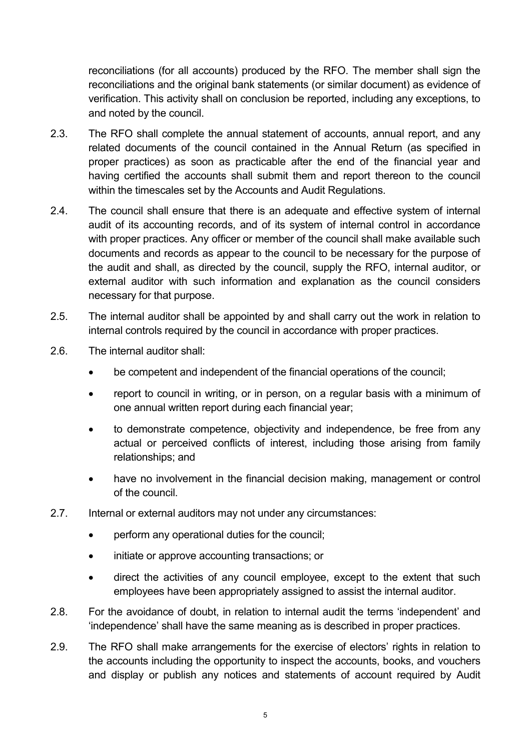reconciliations (for all accounts) produced by the RFO. The member shall sign the reconciliations and the original bank statements (or similar document) as evidence of verification. This activity shall on conclusion be reported, including any exceptions, to and noted by the council.

- 2.3. The RFO shall complete the annual statement of accounts, annual report, and any related documents of the council contained in the Annual Return (as specified in proper practices) as soon as practicable after the end of the financial year and having certified the accounts shall submit them and report thereon to the council within the timescales set by the Accounts and Audit Regulations.
- 2.4. The council shall ensure that there is an adequate and effective system of internal audit of its accounting records, and of its system of internal control in accordance with proper practices. Any officer or member of the council shall make available such documents and records as appear to the council to be necessary for the purpose of the audit and shall, as directed by the council, supply the RFO, internal auditor, or external auditor with such information and explanation as the council considers necessary for that purpose.
- 2.5. The internal auditor shall be appointed by and shall carry out the work in relation to internal controls required by the council in accordance with proper practices.
- 2.6. The internal auditor shall:
	- be competent and independent of the financial operations of the council;
	- report to council in writing, or in person, on a regular basis with a minimum of one annual written report during each financial year;
	- to demonstrate competence, objectivity and independence, be free from any actual or perceived conflicts of interest, including those arising from family relationships; and
	- have no involvement in the financial decision making, management or control of the council.
- 2.7. Internal or external auditors may not under any circumstances:
	- perform any operational duties for the council;
	- initiate or approve accounting transactions; or
	- direct the activities of any council employee, except to the extent that such employees have been appropriately assigned to assist the internal auditor.
- 2.8. For the avoidance of doubt, in relation to internal audit the terms 'independent' and 'independence' shall have the same meaning as is described in proper practices.
- 2.9. The RFO shall make arrangements for the exercise of electors' rights in relation to the accounts including the opportunity to inspect the accounts, books, and vouchers and display or publish any notices and statements of account required by Audit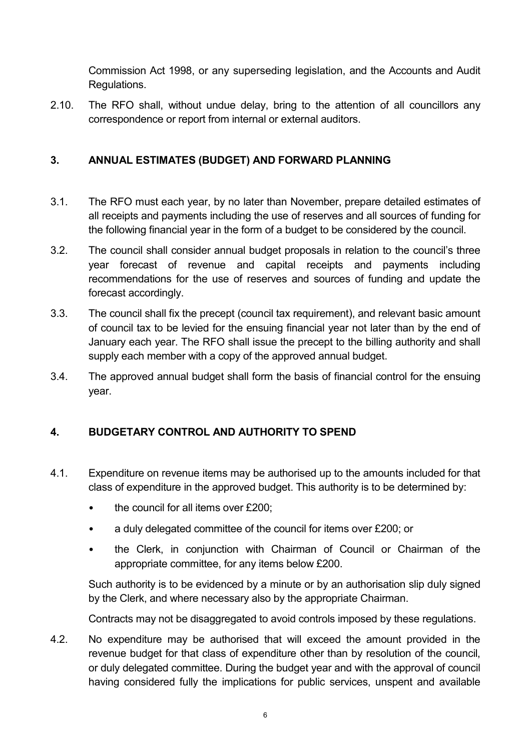Commission Act 1998, or any superseding legislation, and the Accounts and Audit Regulations.

2.10. The RFO shall, without undue delay, bring to the attention of all councillors any correspondence or report from internal or external auditors.

## 3. ANNUAL ESTIMATES (BUDGET) AND FORWARD PLANNING

- 3.1. The RFO must each year, by no later than November, prepare detailed estimates of all receipts and payments including the use of reserves and all sources of funding for the following financial year in the form of a budget to be considered by the council.
- 3.2. The council shall consider annual budget proposals in relation to the council's three year forecast of revenue and capital receipts and payments including recommendations for the use of reserves and sources of funding and update the forecast accordingly.
- 3.3. The council shall fix the precept (council tax requirement), and relevant basic amount of council tax to be levied for the ensuing financial year not later than by the end of January each year. The RFO shall issue the precept to the billing authority and shall supply each member with a copy of the approved annual budget.
- 3.4. The approved annual budget shall form the basis of financial control for the ensuing year.

## 4. BUDGETARY CONTROL AND AUTHORITY TO SPEND

- 4.1. Expenditure on revenue items may be authorised up to the amounts included for that class of expenditure in the approved budget. This authority is to be determined by:
	- the council for all items over £200;
	- a duly delegated committee of the council for items over £200; or
	- the Clerk, in conjunction with Chairman of Council or Chairman of the appropriate committee, for any items below £200.

Such authority is to be evidenced by a minute or by an authorisation slip duly signed by the Clerk, and where necessary also by the appropriate Chairman.

Contracts may not be disaggregated to avoid controls imposed by these regulations.

4.2. No expenditure may be authorised that will exceed the amount provided in the revenue budget for that class of expenditure other than by resolution of the council, or duly delegated committee. During the budget year and with the approval of council having considered fully the implications for public services, unspent and available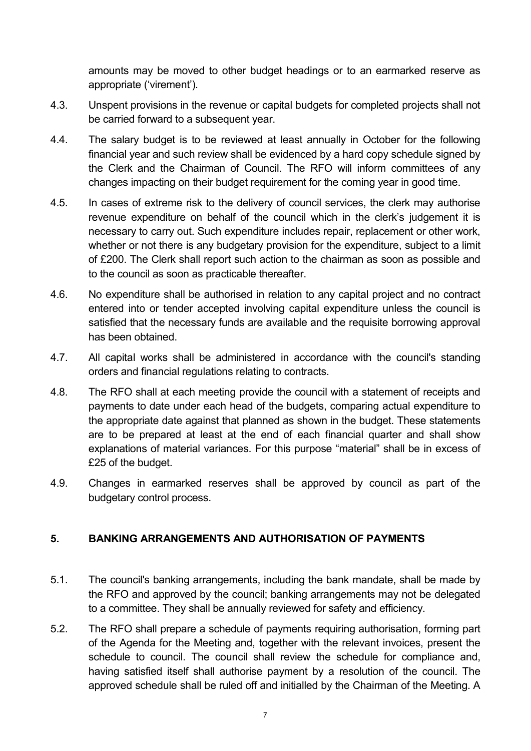amounts may be moved to other budget headings or to an earmarked reserve as appropriate ('virement').

- 4.3. Unspent provisions in the revenue or capital budgets for completed projects shall not be carried forward to a subsequent year.
- 4.4. The salary budget is to be reviewed at least annually in October for the following financial year and such review shall be evidenced by a hard copy schedule signed by the Clerk and the Chairman of Council. The RFO will inform committees of any changes impacting on their budget requirement for the coming year in good time.
- 4.5. In cases of extreme risk to the delivery of council services, the clerk may authorise revenue expenditure on behalf of the council which in the clerk's judgement it is necessary to carry out. Such expenditure includes repair, replacement or other work, whether or not there is any budgetary provision for the expenditure, subject to a limit of £200. The Clerk shall report such action to the chairman as soon as possible and to the council as soon as practicable thereafter.
- 4.6. No expenditure shall be authorised in relation to any capital project and no contract entered into or tender accepted involving capital expenditure unless the council is satisfied that the necessary funds are available and the requisite borrowing approval has been obtained.
- 4.7. All capital works shall be administered in accordance with the council's standing orders and financial regulations relating to contracts.
- 4.8. The RFO shall at each meeting provide the council with a statement of receipts and payments to date under each head of the budgets, comparing actual expenditure to the appropriate date against that planned as shown in the budget. These statements are to be prepared at least at the end of each financial quarter and shall show explanations of material variances. For this purpose "material" shall be in excess of £25 of the budget.
- 4.9. Changes in earmarked reserves shall be approved by council as part of the budgetary control process.

#### 5. BANKING ARRANGEMENTS AND AUTHORISATION OF PAYMENTS

- 5.1. The council's banking arrangements, including the bank mandate, shall be made by the RFO and approved by the council; banking arrangements may not be delegated to a committee. They shall be annually reviewed for safety and efficiency.
- 5.2. The RFO shall prepare a schedule of payments requiring authorisation, forming part of the Agenda for the Meeting and, together with the relevant invoices, present the schedule to council. The council shall review the schedule for compliance and, having satisfied itself shall authorise payment by a resolution of the council. The approved schedule shall be ruled off and initialled by the Chairman of the Meeting. A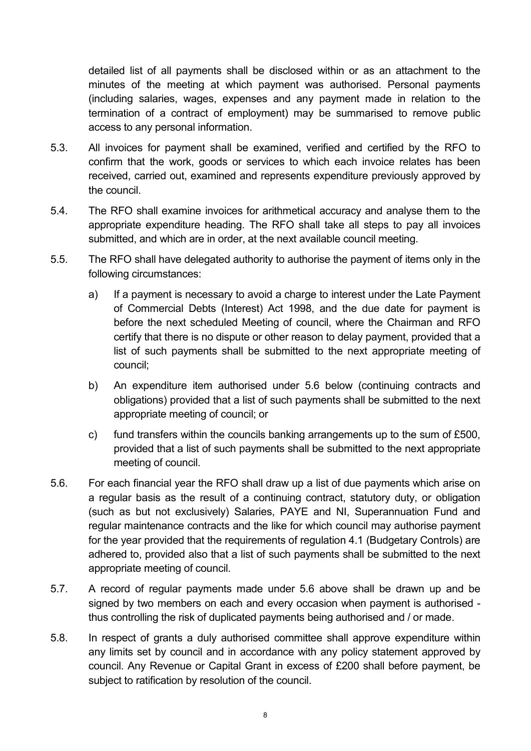detailed list of all payments shall be disclosed within or as an attachment to the minutes of the meeting at which payment was authorised. Personal payments (including salaries, wages, expenses and any payment made in relation to the termination of a contract of employment) may be summarised to remove public access to any personal information.

- 5.3. All invoices for payment shall be examined, verified and certified by the RFO to confirm that the work, goods or services to which each invoice relates has been received, carried out, examined and represents expenditure previously approved by the council.
- 5.4. The RFO shall examine invoices for arithmetical accuracy and analyse them to the appropriate expenditure heading. The RFO shall take all steps to pay all invoices submitted, and which are in order, at the next available council meeting.
- 5.5. The RFO shall have delegated authority to authorise the payment of items only in the following circumstances:
	- a) If a payment is necessary to avoid a charge to interest under the Late Payment of Commercial Debts (Interest) Act 1998, and the due date for payment is before the next scheduled Meeting of council, where the Chairman and RFO certify that there is no dispute or other reason to delay payment, provided that a list of such payments shall be submitted to the next appropriate meeting of council;
	- b) An expenditure item authorised under 5.6 below (continuing contracts and obligations) provided that a list of such payments shall be submitted to the next appropriate meeting of council; or
	- c) fund transfers within the councils banking arrangements up to the sum of £500, provided that a list of such payments shall be submitted to the next appropriate meeting of council.
- 5.6. For each financial year the RFO shall draw up a list of due payments which arise on a regular basis as the result of a continuing contract, statutory duty, or obligation (such as but not exclusively) Salaries, PAYE and NI, Superannuation Fund and regular maintenance contracts and the like for which council may authorise payment for the year provided that the requirements of regulation 4.1 (Budgetary Controls) are adhered to, provided also that a list of such payments shall be submitted to the next appropriate meeting of council.
- 5.7. A record of regular payments made under 5.6 above shall be drawn up and be signed by two members on each and every occasion when payment is authorised thus controlling the risk of duplicated payments being authorised and / or made.
- 5.8. In respect of grants a duly authorised committee shall approve expenditure within any limits set by council and in accordance with any policy statement approved by council. Any Revenue or Capital Grant in excess of £200 shall before payment, be subject to ratification by resolution of the council.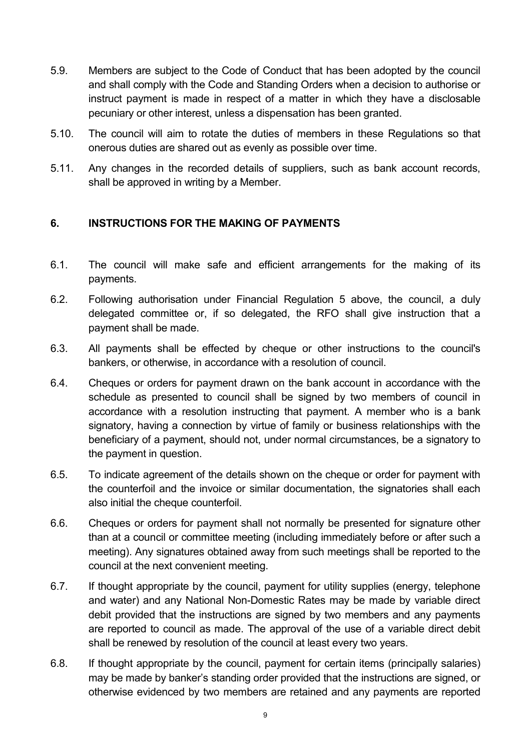- 5.9. Members are subject to the Code of Conduct that has been adopted by the council and shall comply with the Code and Standing Orders when a decision to authorise or instruct payment is made in respect of a matter in which they have a disclosable pecuniary or other interest, unless a dispensation has been granted.
- 5.10. The council will aim to rotate the duties of members in these Regulations so that onerous duties are shared out as evenly as possible over time.
- 5.11. Any changes in the recorded details of suppliers, such as bank account records, shall be approved in writing by a Member.

### 6. INSTRUCTIONS FOR THE MAKING OF PAYMENTS

- 6.1. The council will make safe and efficient arrangements for the making of its payments.
- 6.2. Following authorisation under Financial Regulation 5 above, the council, a duly delegated committee or, if so delegated, the RFO shall give instruction that a payment shall be made.
- 6.3. All payments shall be effected by cheque or other instructions to the council's bankers, or otherwise, in accordance with a resolution of council.
- 6.4. Cheques or orders for payment drawn on the bank account in accordance with the schedule as presented to council shall be signed by two members of council in accordance with a resolution instructing that payment. A member who is a bank signatory, having a connection by virtue of family or business relationships with the beneficiary of a payment, should not, under normal circumstances, be a signatory to the payment in question.
- 6.5. To indicate agreement of the details shown on the cheque or order for payment with the counterfoil and the invoice or similar documentation, the signatories shall each also initial the cheque counterfoil.
- 6.6. Cheques or orders for payment shall not normally be presented for signature other than at a council or committee meeting (including immediately before or after such a meeting). Any signatures obtained away from such meetings shall be reported to the council at the next convenient meeting.
- 6.7. If thought appropriate by the council, payment for utility supplies (energy, telephone and water) and any National Non-Domestic Rates may be made by variable direct debit provided that the instructions are signed by two members and any payments are reported to council as made. The approval of the use of a variable direct debit shall be renewed by resolution of the council at least every two years.
- 6.8. If thought appropriate by the council, payment for certain items (principally salaries) may be made by banker's standing order provided that the instructions are signed, or otherwise evidenced by two members are retained and any payments are reported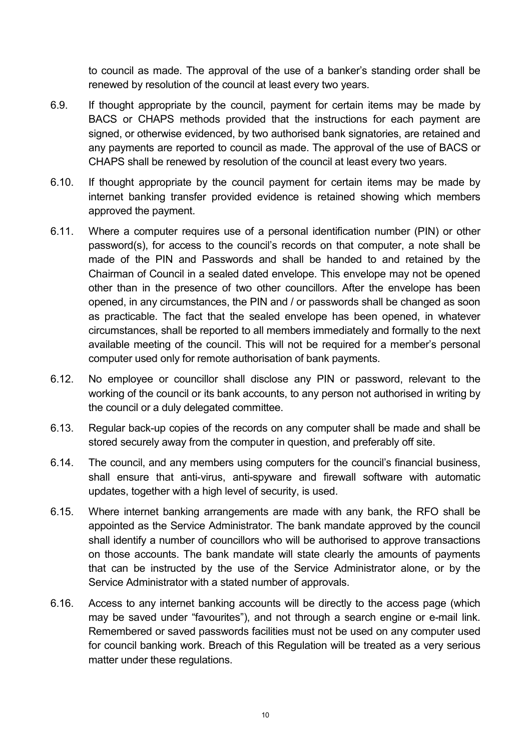to council as made. The approval of the use of a banker's standing order shall be renewed by resolution of the council at least every two years.

- 6.9. If thought appropriate by the council, payment for certain items may be made by BACS or CHAPS methods provided that the instructions for each payment are signed, or otherwise evidenced, by two authorised bank signatories, are retained and any payments are reported to council as made. The approval of the use of BACS or CHAPS shall be renewed by resolution of the council at least every two years.
- 6.10. If thought appropriate by the council payment for certain items may be made by internet banking transfer provided evidence is retained showing which members approved the payment.
- 6.11. Where a computer requires use of a personal identification number (PIN) or other password(s), for access to the council's records on that computer, a note shall be made of the PIN and Passwords and shall be handed to and retained by the Chairman of Council in a sealed dated envelope. This envelope may not be opened other than in the presence of two other councillors. After the envelope has been opened, in any circumstances, the PIN and / or passwords shall be changed as soon as practicable. The fact that the sealed envelope has been opened, in whatever circumstances, shall be reported to all members immediately and formally to the next available meeting of the council. This will not be required for a member's personal computer used only for remote authorisation of bank payments.
- 6.12. No employee or councillor shall disclose any PIN or password, relevant to the working of the council or its bank accounts, to any person not authorised in writing by the council or a duly delegated committee.
- 6.13. Regular back-up copies of the records on any computer shall be made and shall be stored securely away from the computer in question, and preferably off site.
- 6.14. The council, and any members using computers for the council's financial business, shall ensure that anti-virus, anti-spyware and firewall software with automatic updates, together with a high level of security, is used.
- 6.15. Where internet banking arrangements are made with any bank, the RFO shall be appointed as the Service Administrator. The bank mandate approved by the council shall identify a number of councillors who will be authorised to approve transactions on those accounts. The bank mandate will state clearly the amounts of payments that can be instructed by the use of the Service Administrator alone, or by the Service Administrator with a stated number of approvals.
- 6.16. Access to any internet banking accounts will be directly to the access page (which may be saved under "favourites"), and not through a search engine or e-mail link. Remembered or saved passwords facilities must not be used on any computer used for council banking work. Breach of this Regulation will be treated as a very serious matter under these regulations.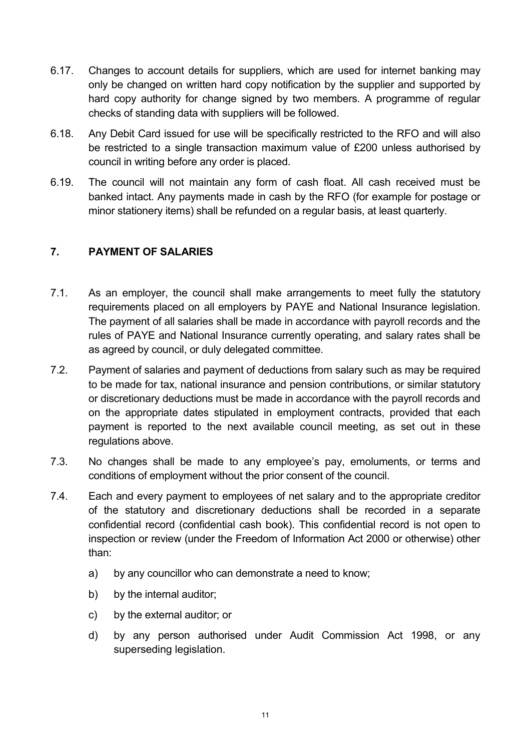- 6.17. Changes to account details for suppliers, which are used for internet banking may only be changed on written hard copy notification by the supplier and supported by hard copy authority for change signed by two members. A programme of regular checks of standing data with suppliers will be followed.
- 6.18. Any Debit Card issued for use will be specifically restricted to the RFO and will also be restricted to a single transaction maximum value of £200 unless authorised by council in writing before any order is placed.
- 6.19. The council will not maintain any form of cash float. All cash received must be banked intact. Any payments made in cash by the RFO (for example for postage or minor stationery items) shall be refunded on a regular basis, at least quarterly.

## 7. PAYMENT OF SALARIES

- 7.1. As an employer, the council shall make arrangements to meet fully the statutory requirements placed on all employers by PAYE and National Insurance legislation. The payment of all salaries shall be made in accordance with payroll records and the rules of PAYE and National Insurance currently operating, and salary rates shall be as agreed by council, or duly delegated committee.
- 7.2. Payment of salaries and payment of deductions from salary such as may be required to be made for tax, national insurance and pension contributions, or similar statutory or discretionary deductions must be made in accordance with the payroll records and on the appropriate dates stipulated in employment contracts, provided that each payment is reported to the next available council meeting, as set out in these regulations above.
- 7.3. No changes shall be made to any employee's pay, emoluments, or terms and conditions of employment without the prior consent of the council.
- 7.4. Each and every payment to employees of net salary and to the appropriate creditor of the statutory and discretionary deductions shall be recorded in a separate confidential record (confidential cash book). This confidential record is not open to inspection or review (under the Freedom of Information Act 2000 or otherwise) other than:
	- a) by any councillor who can demonstrate a need to know;
	- b) by the internal auditor;
	- c) by the external auditor; or
	- d) by any person authorised under Audit Commission Act 1998, or any superseding legislation.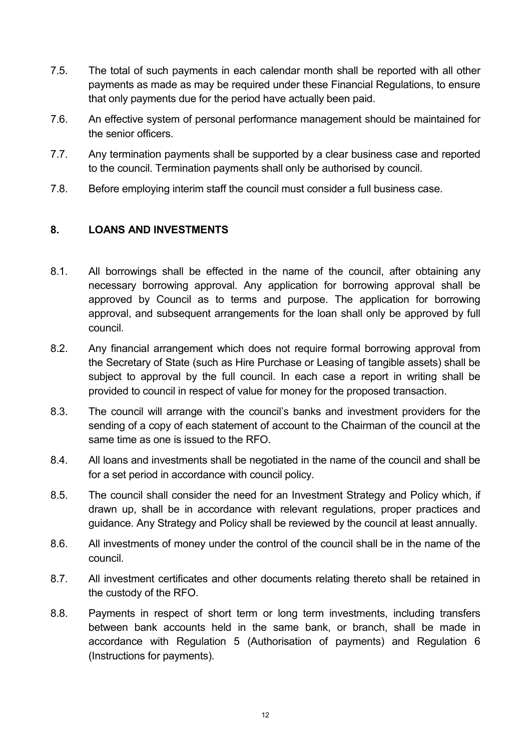- 7.5. The total of such payments in each calendar month shall be reported with all other payments as made as may be required under these Financial Regulations, to ensure that only payments due for the period have actually been paid.
- 7.6. An effective system of personal performance management should be maintained for the senior officers.
- 7.7. Any termination payments shall be supported by a clear business case and reported to the council. Termination payments shall only be authorised by council.
- 7.8. Before employing interim staff the council must consider a full business case.

## 8. LOANS AND INVESTMENTS

- 8.1. All borrowings shall be effected in the name of the council, after obtaining any necessary borrowing approval. Any application for borrowing approval shall be approved by Council as to terms and purpose. The application for borrowing approval, and subsequent arrangements for the loan shall only be approved by full council.
- 8.2. Any financial arrangement which does not require formal borrowing approval from the Secretary of State (such as Hire Purchase or Leasing of tangible assets) shall be subject to approval by the full council. In each case a report in writing shall be provided to council in respect of value for money for the proposed transaction.
- 8.3. The council will arrange with the council's banks and investment providers for the sending of a copy of each statement of account to the Chairman of the council at the same time as one is issued to the RFO.
- 8.4. All loans and investments shall be negotiated in the name of the council and shall be for a set period in accordance with council policy.
- 8.5. The council shall consider the need for an Investment Strategy and Policy which, if drawn up, shall be in accordance with relevant regulations, proper practices and guidance. Any Strategy and Policy shall be reviewed by the council at least annually.
- 8.6. All investments of money under the control of the council shall be in the name of the council.
- 8.7. All investment certificates and other documents relating thereto shall be retained in the custody of the RFO.
- 8.8. Payments in respect of short term or long term investments, including transfers between bank accounts held in the same bank, or branch, shall be made in accordance with Regulation 5 (Authorisation of payments) and Regulation 6 (Instructions for payments).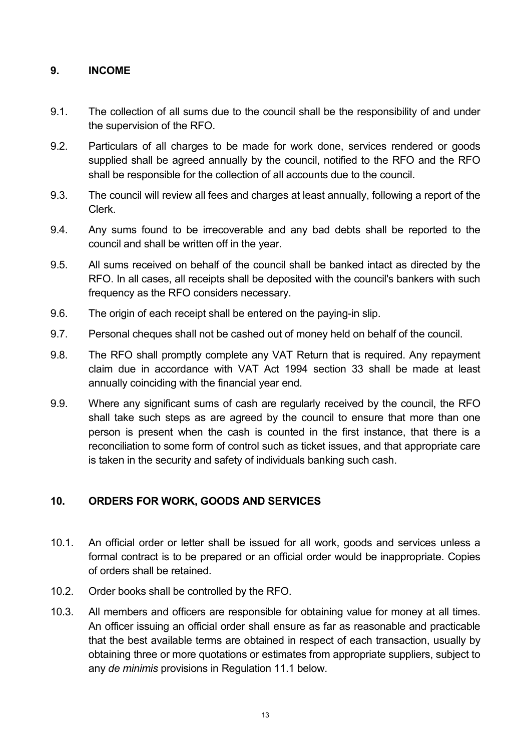#### 9. INCOME

- 9.1. The collection of all sums due to the council shall be the responsibility of and under the supervision of the RFO.
- 9.2. Particulars of all charges to be made for work done, services rendered or goods supplied shall be agreed annually by the council, notified to the RFO and the RFO shall be responsible for the collection of all accounts due to the council.
- 9.3. The council will review all fees and charges at least annually, following a report of the Clerk.
- 9.4. Any sums found to be irrecoverable and any bad debts shall be reported to the council and shall be written off in the year.
- 9.5. All sums received on behalf of the council shall be banked intact as directed by the RFO. In all cases, all receipts shall be deposited with the council's bankers with such frequency as the RFO considers necessary.
- 9.6. The origin of each receipt shall be entered on the paying-in slip.
- 9.7. Personal cheques shall not be cashed out of money held on behalf of the council.
- 9.8. The RFO shall promptly complete any VAT Return that is required. Any repayment claim due in accordance with VAT Act 1994 section 33 shall be made at least annually coinciding with the financial year end.
- 9.9. Where any significant sums of cash are regularly received by the council, the RFO shall take such steps as are agreed by the council to ensure that more than one person is present when the cash is counted in the first instance, that there is a reconciliation to some form of control such as ticket issues, and that appropriate care is taken in the security and safety of individuals banking such cash.

### 10. ORDERS FOR WORK, GOODS AND SERVICES

- 10.1. An official order or letter shall be issued for all work, goods and services unless a formal contract is to be prepared or an official order would be inappropriate. Copies of orders shall be retained.
- 10.2. Order books shall be controlled by the RFO.
- 10.3. All members and officers are responsible for obtaining value for money at all times. An officer issuing an official order shall ensure as far as reasonable and practicable that the best available terms are obtained in respect of each transaction, usually by obtaining three or more quotations or estimates from appropriate suppliers, subject to any de minimis provisions in Regulation 11.1 below.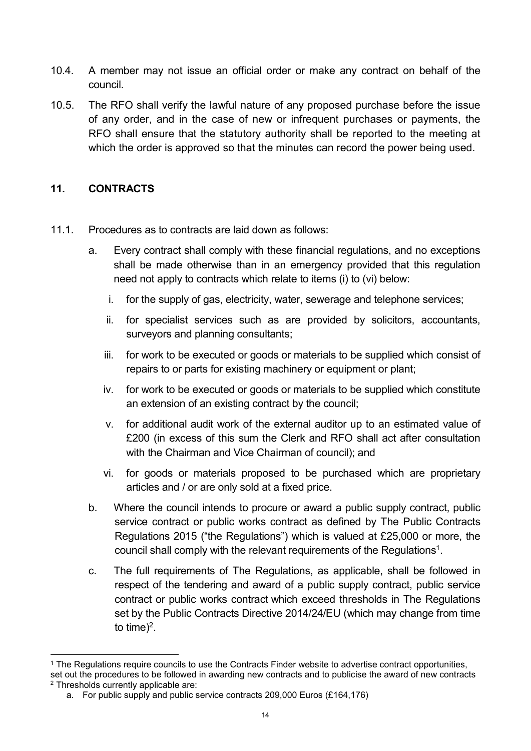- 10.4. A member may not issue an official order or make any contract on behalf of the council.
- 10.5. The RFO shall verify the lawful nature of any proposed purchase before the issue of any order, and in the case of new or infrequent purchases or payments, the RFO shall ensure that the statutory authority shall be reported to the meeting at which the order is approved so that the minutes can record the power being used.

### 11. CONTRACTS

 $\overline{a}$ 

- 11.1. Procedures as to contracts are laid down as follows:
	- a. Every contract shall comply with these financial regulations, and no exceptions shall be made otherwise than in an emergency provided that this regulation need not apply to contracts which relate to items (i) to (vi) below:
		- i. for the supply of gas, electricity, water, sewerage and telephone services;
		- ii. for specialist services such as are provided by solicitors, accountants, surveyors and planning consultants;
		- iii. for work to be executed or goods or materials to be supplied which consist of repairs to or parts for existing machinery or equipment or plant;
		- iv. for work to be executed or goods or materials to be supplied which constitute an extension of an existing contract by the council;
		- v. for additional audit work of the external auditor up to an estimated value of £200 (in excess of this sum the Clerk and RFO shall act after consultation with the Chairman and Vice Chairman of council); and
		- vi. for goods or materials proposed to be purchased which are proprietary articles and / or are only sold at a fixed price.
	- b. Where the council intends to procure or award a public supply contract, public service contract or public works contract as defined by The Public Contracts Regulations 2015 ("the Regulations") which is valued at £25,000 or more, the council shall comply with the relevant requirements of the Regulations<sup>1</sup>.
	- c. The full requirements of The Regulations, as applicable, shall be followed in respect of the tendering and award of a public supply contract, public service contract or public works contract which exceed thresholds in The Regulations set by the Public Contracts Directive 2014/24/EU (which may change from time to time)<sup>2</sup>.

<sup>1</sup> The Regulations require councils to use the Contracts Finder website to advertise contract opportunities,

set out the procedures to be followed in awarding new contracts and to publicise the award of new contracts 2 Thresholds currently applicable are:

a. For public supply and public service contracts 209,000 Euros (£164,176)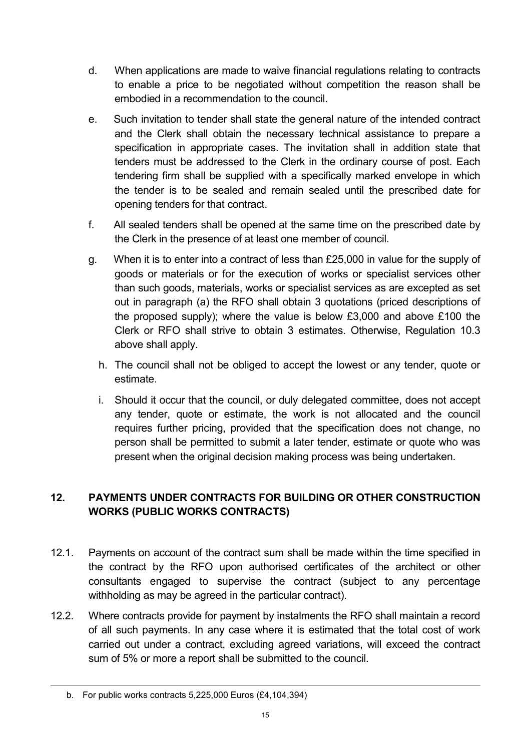- d. When applications are made to waive financial regulations relating to contracts to enable a price to be negotiated without competition the reason shall be embodied in a recommendation to the council.
- e. Such invitation to tender shall state the general nature of the intended contract and the Clerk shall obtain the necessary technical assistance to prepare a specification in appropriate cases. The invitation shall in addition state that tenders must be addressed to the Clerk in the ordinary course of post. Each tendering firm shall be supplied with a specifically marked envelope in which the tender is to be sealed and remain sealed until the prescribed date for opening tenders for that contract.
- f. All sealed tenders shall be opened at the same time on the prescribed date by the Clerk in the presence of at least one member of council.
- g. When it is to enter into a contract of less than £25,000 in value for the supply of goods or materials or for the execution of works or specialist services other than such goods, materials, works or specialist services as are excepted as set out in paragraph (a) the RFO shall obtain 3 quotations (priced descriptions of the proposed supply); where the value is below £3,000 and above £100 the Clerk or RFO shall strive to obtain 3 estimates. Otherwise, Regulation 10.3 above shall apply.
	- h. The council shall not be obliged to accept the lowest or any tender, quote or estimate.
	- i. Should it occur that the council, or duly delegated committee, does not accept any tender, quote or estimate, the work is not allocated and the council requires further pricing, provided that the specification does not change, no person shall be permitted to submit a later tender, estimate or quote who was present when the original decision making process was being undertaken.

## 12. PAYMENTS UNDER CONTRACTS FOR BUILDING OR OTHER CONSTRUCTION WORKS (PUBLIC WORKS CONTRACTS)

- 12.1. Payments on account of the contract sum shall be made within the time specified in the contract by the RFO upon authorised certificates of the architect or other consultants engaged to supervise the contract (subject to any percentage withholding as may be agreed in the particular contract).
- 12.2. Where contracts provide for payment by instalments the RFO shall maintain a record of all such payments. In any case where it is estimated that the total cost of work carried out under a contract, excluding agreed variations, will exceed the contract sum of 5% or more a report shall be submitted to the council.

 $\overline{a}$ 

b. For public works contracts 5,225,000 Euros (£4,104,394)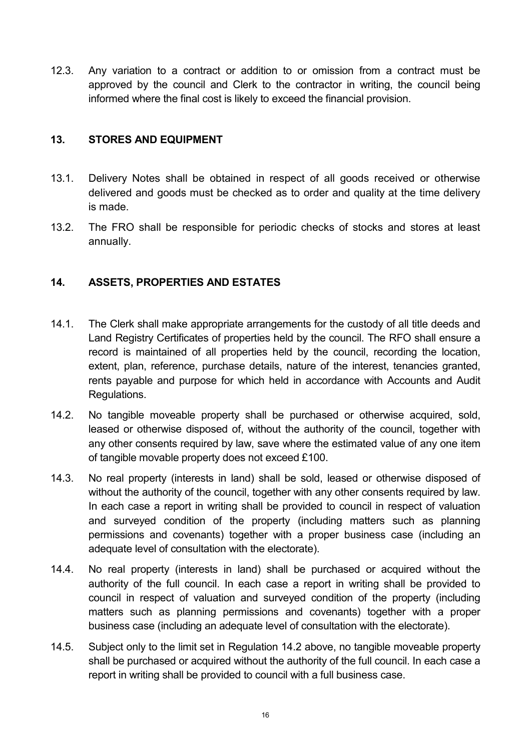12.3. Any variation to a contract or addition to or omission from a contract must be approved by the council and Clerk to the contractor in writing, the council being informed where the final cost is likely to exceed the financial provision.

#### 13. STORES AND EQUIPMENT

- 13.1. Delivery Notes shall be obtained in respect of all goods received or otherwise delivered and goods must be checked as to order and quality at the time delivery is made.
- 13.2. The FRO shall be responsible for periodic checks of stocks and stores at least annually.

### 14. ASSETS, PROPERTIES AND ESTATES

- 14.1. The Clerk shall make appropriate arrangements for the custody of all title deeds and Land Registry Certificates of properties held by the council. The RFO shall ensure a record is maintained of all properties held by the council, recording the location, extent, plan, reference, purchase details, nature of the interest, tenancies granted, rents payable and purpose for which held in accordance with Accounts and Audit Regulations.
- 14.2. No tangible moveable property shall be purchased or otherwise acquired, sold, leased or otherwise disposed of, without the authority of the council, together with any other consents required by law, save where the estimated value of any one item of tangible movable property does not exceed £100.
- 14.3. No real property (interests in land) shall be sold, leased or otherwise disposed of without the authority of the council, together with any other consents required by law. In each case a report in writing shall be provided to council in respect of valuation and surveyed condition of the property (including matters such as planning permissions and covenants) together with a proper business case (including an adequate level of consultation with the electorate).
- 14.4. No real property (interests in land) shall be purchased or acquired without the authority of the full council. In each case a report in writing shall be provided to council in respect of valuation and surveyed condition of the property (including matters such as planning permissions and covenants) together with a proper business case (including an adequate level of consultation with the electorate).
- 14.5. Subject only to the limit set in Regulation 14.2 above, no tangible moveable property shall be purchased or acquired without the authority of the full council. In each case a report in writing shall be provided to council with a full business case.